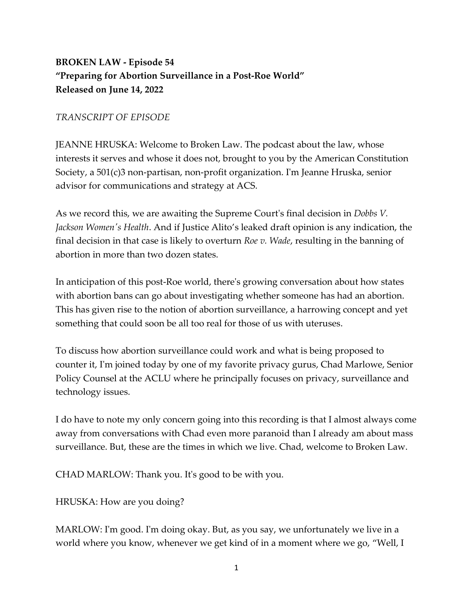## **BROKEN LAW - Episode 54 "Preparing for Abortion Surveillance in a Post-Roe World" Released on June 14, 2022**

## *TRANSCRIPT OF EPISODE*

JEANNE HRUSKA: Welcome to Broken Law. The podcast about the law, whose interests it serves and whose it does not, brought to you by the American Constitution Society, a 501(c)3 non-partisan, non-profit organization. I'm Jeanne Hruska, senior advisor for communications and strategy at ACS.

As we record this, we are awaiting the Supreme Court's final decision in *Dobbs V. Jackson Women's Health*. And if Justice Alito's leaked draft opinion is any indication, the final decision in that case is likely to overturn *Roe v. Wade*, resulting in the banning of abortion in more than two dozen states.

In anticipation of this post-Roe world, there's growing conversation about how states with abortion bans can go about investigating whether someone has had an abortion. This has given rise to the notion of abortion surveillance, a harrowing concept and yet something that could soon be all too real for those of us with uteruses.

To discuss how abortion surveillance could work and what is being proposed to counter it, I'm joined today by one of my favorite privacy gurus, Chad Marlowe, Senior Policy Counsel at the ACLU where he principally focuses on privacy, surveillance and technology issues.

I do have to note my only concern going into this recording is that I almost always come away from conversations with Chad even more paranoid than I already am about mass surveillance. But, these are the times in which we live. Chad, welcome to Broken Law.

CHAD MARLOW: Thank you. It's good to be with you.

HRUSKA: How are you doing?

MARLOW: I'm good. I'm doing okay. But, as you say, we unfortunately we live in a world where you know, whenever we get kind of in a moment where we go, "Well, I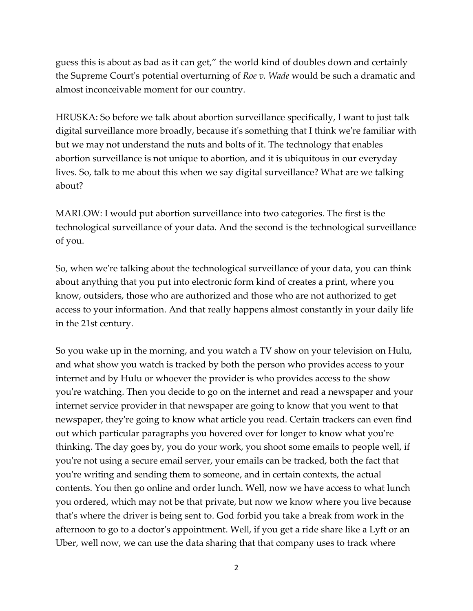guess this is about as bad as it can get," the world kind of doubles down and certainly the Supreme Court's potential overturning of *Roe v. Wade* would be such a dramatic and almost inconceivable moment for our country.

HRUSKA: So before we talk about abortion surveillance specifically, I want to just talk digital surveillance more broadly, because it's something that I think we're familiar with but we may not understand the nuts and bolts of it. The technology that enables abortion surveillance is not unique to abortion, and it is ubiquitous in our everyday lives. So, talk to me about this when we say digital surveillance? What are we talking about?

MARLOW: I would put abortion surveillance into two categories. The first is the technological surveillance of your data. And the second is the technological surveillance of you.

So, when we're talking about the technological surveillance of your data, you can think about anything that you put into electronic form kind of creates a print, where you know, outsiders, those who are authorized and those who are not authorized to get access to your information. And that really happens almost constantly in your daily life in the 21st century.

So you wake up in the morning, and you watch a TV show on your television on Hulu, and what show you watch is tracked by both the person who provides access to your internet and by Hulu or whoever the provider is who provides access to the show you're watching. Then you decide to go on the internet and read a newspaper and your internet service provider in that newspaper are going to know that you went to that newspaper, they're going to know what article you read. Certain trackers can even find out which particular paragraphs you hovered over for longer to know what you're thinking. The day goes by, you do your work, you shoot some emails to people well, if you're not using a secure email server, your emails can be tracked, both the fact that you're writing and sending them to someone, and in certain contexts, the actual contents. You then go online and order lunch. Well, now we have access to what lunch you ordered, which may not be that private, but now we know where you live because that's where the driver is being sent to. God forbid you take a break from work in the afternoon to go to a doctor's appointment. Well, if you get a ride share like a Lyft or an Uber, well now, we can use the data sharing that that company uses to track where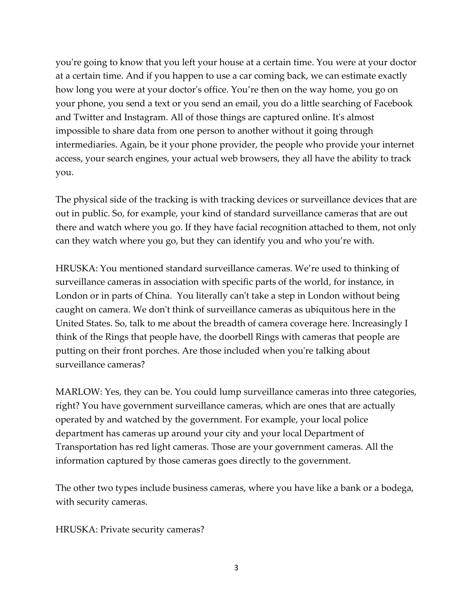you're going to know that you left your house at a certain time. You were at your doctor at a certain time. And if you happen to use a car coming back, we can estimate exactly how long you were at your doctor's office. You're then on the way home, you go on your phone, you send a text or you send an email, you do a little searching of Facebook and Twitter and Instagram. All of those things are captured online. It's almost impossible to share data from one person to another without it going through intermediaries. Again, be it your phone provider, the people who provide your internet access, your search engines, your actual web browsers, they all have the ability to track you.

The physical side of the tracking is with tracking devices or surveillance devices that are out in public. So, for example, your kind of standard surveillance cameras that are out there and watch where you go. If they have facial recognition attached to them, not only can they watch where you go, but they can identify you and who you're with.

HRUSKA: You mentioned standard surveillance cameras. We're used to thinking of surveillance cameras in association with specific parts of the world, for instance, in London or in parts of China. You literally can't take a step in London without being caught on camera. We don't think of surveillance cameras as ubiquitous here in the United States. So, talk to me about the breadth of camera coverage here. Increasingly I think of the Rings that people have, the doorbell Rings with cameras that people are putting on their front porches. Are those included when you're talking about surveillance cameras?

MARLOW: Yes, they can be. You could lump surveillance cameras into three categories, right? You have government surveillance cameras, which are ones that are actually operated by and watched by the government. For example, your local police department has cameras up around your city and your local Department of Transportation has red light cameras. Those are your government cameras. All the information captured by those cameras goes directly to the government.

The other two types include business cameras, where you have like a bank or a bodega, with security cameras.

HRUSKA: Private security cameras?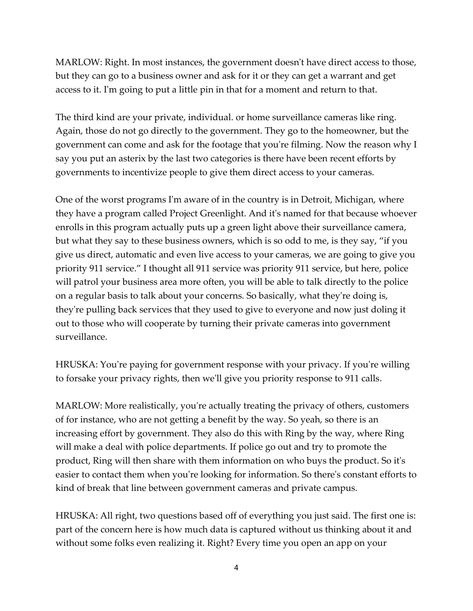MARLOW: Right. In most instances, the government doesn't have direct access to those, but they can go to a business owner and ask for it or they can get a warrant and get access to it. I'm going to put a little pin in that for a moment and return to that.

The third kind are your private, individual. or home surveillance cameras like ring. Again, those do not go directly to the government. They go to the homeowner, but the government can come and ask for the footage that you're filming. Now the reason why I say you put an asterix by the last two categories is there have been recent efforts by governments to incentivize people to give them direct access to your cameras.

One of the worst programs I'm aware of in the country is in Detroit, Michigan, where they have a program called Project Greenlight. And it's named for that because whoever enrolls in this program actually puts up a green light above their surveillance camera, but what they say to these business owners, which is so odd to me, is they say, "if you give us direct, automatic and even live access to your cameras, we are going to give you priority 911 service." I thought all 911 service was priority 911 service, but here, police will patrol your business area more often, you will be able to talk directly to the police on a regular basis to talk about your concerns. So basically, what they're doing is, they're pulling back services that they used to give to everyone and now just doling it out to those who will cooperate by turning their private cameras into government surveillance.

HRUSKA: You're paying for government response with your privacy. If you're willing to forsake your privacy rights, then we'll give you priority response to 911 calls.

MARLOW: More realistically, you're actually treating the privacy of others, customers of for instance, who are not getting a benefit by the way. So yeah, so there is an increasing effort by government. They also do this with Ring by the way, where Ring will make a deal with police departments. If police go out and try to promote the product, Ring will then share with them information on who buys the product. So it's easier to contact them when you're looking for information. So there's constant efforts to kind of break that line between government cameras and private campus.

HRUSKA: All right, two questions based off of everything you just said. The first one is: part of the concern here is how much data is captured without us thinking about it and without some folks even realizing it. Right? Every time you open an app on your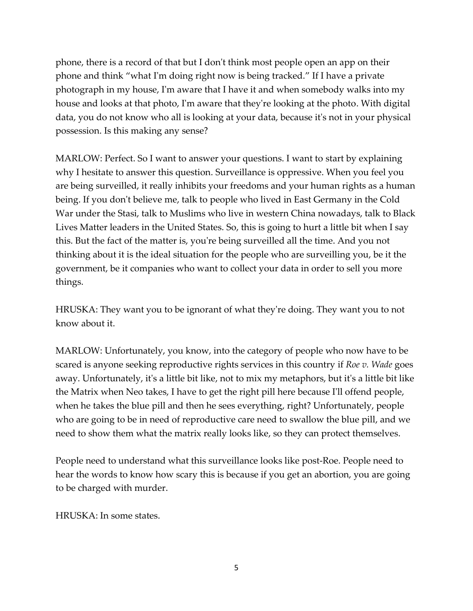phone, there is a record of that but I don't think most people open an app on their phone and think "what I'm doing right now is being tracked." If I have a private photograph in my house, I'm aware that I have it and when somebody walks into my house and looks at that photo, I'm aware that they're looking at the photo. With digital data, you do not know who all is looking at your data, because it's not in your physical possession. Is this making any sense?

MARLOW: Perfect. So I want to answer your questions. I want to start by explaining why I hesitate to answer this question. Surveillance is oppressive. When you feel you are being surveilled, it really inhibits your freedoms and your human rights as a human being. If you don't believe me, talk to people who lived in East Germany in the Cold War under the Stasi, talk to Muslims who live in western China nowadays, talk to Black Lives Matter leaders in the United States. So, this is going to hurt a little bit when I say this. But the fact of the matter is, you're being surveilled all the time. And you not thinking about it is the ideal situation for the people who are surveilling you, be it the government, be it companies who want to collect your data in order to sell you more things.

HRUSKA: They want you to be ignorant of what they're doing. They want you to not know about it.

MARLOW: Unfortunately, you know, into the category of people who now have to be scared is anyone seeking reproductive rights services in this country if *Roe v. Wade* goes away. Unfortunately, it's a little bit like, not to mix my metaphors, but it's a little bit like the Matrix when Neo takes, I have to get the right pill here because I'll offend people, when he takes the blue pill and then he sees everything, right? Unfortunately, people who are going to be in need of reproductive care need to swallow the blue pill, and we need to show them what the matrix really looks like, so they can protect themselves.

People need to understand what this surveillance looks like post-Roe. People need to hear the words to know how scary this is because if you get an abortion, you are going to be charged with murder.

 $HRI ISKA \cdot In some states.$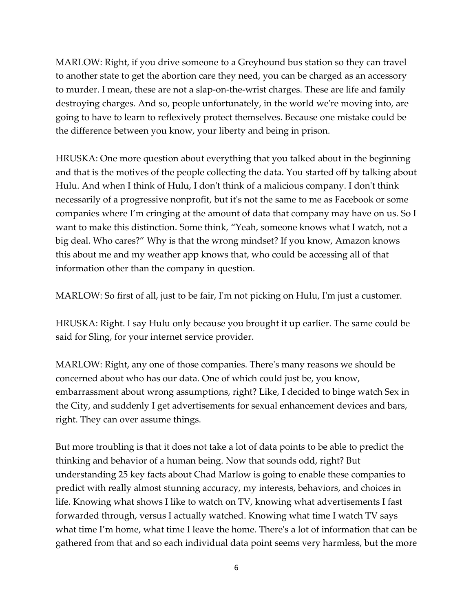MARLOW: Right, if you drive someone to a Greyhound bus station so they can travel to another state to get the abortion care they need, you can be charged as an accessory to murder. I mean, these are not a slap-on-the-wrist charges. These are life and family destroying charges. And so, people unfortunately, in the world we're moving into, are going to have to learn to reflexively protect themselves. Because one mistake could be the difference between you know, your liberty and being in prison.

HRUSKA: One more question about everything that you talked about in the beginning and that is the motives of the people collecting the data. You started off by talking about Hulu. And when I think of Hulu, I don't think of a malicious company. I don't think necessarily of a progressive nonprofit, but it's not the same to me as Facebook or some companies where I'm cringing at the amount of data that company may have on us. So I want to make this distinction. Some think, "Yeah, someone knows what I watch, not a big deal. Who cares?" Why is that the wrong mindset? If you know, Amazon knows this about me and my weather app knows that, who could be accessing all of that information other than the company in question.

MARLOW: So first of all, just to be fair, I'm not picking on Hulu, I'm just a customer.

HRUSKA: Right. I say Hulu only because you brought it up earlier. The same could be said for Sling, for your internet service provider.

MARLOW: Right, any one of those companies. There's many reasons we should be concerned about who has our data. One of which could just be, you know, embarrassment about wrong assumptions, right? Like, I decided to binge watch Sex in the City, and suddenly I get advertisements for sexual enhancement devices and bars, right. They can over assume things.

But more troubling is that it does not take a lot of data points to be able to predict the thinking and behavior of a human being. Now that sounds odd, right? But understanding 25 key facts about Chad Marlow is going to enable these companies to predict with really almost stunning accuracy, my interests, behaviors, and choices in life. Knowing what shows I like to watch on TV, knowing what advertisements I fast forwarded through, versus I actually watched. Knowing what time I watch TV says what time I'm home, what time I leave the home. There's a lot of information that can be gathered from that and so each individual data point seems very harmless, but the more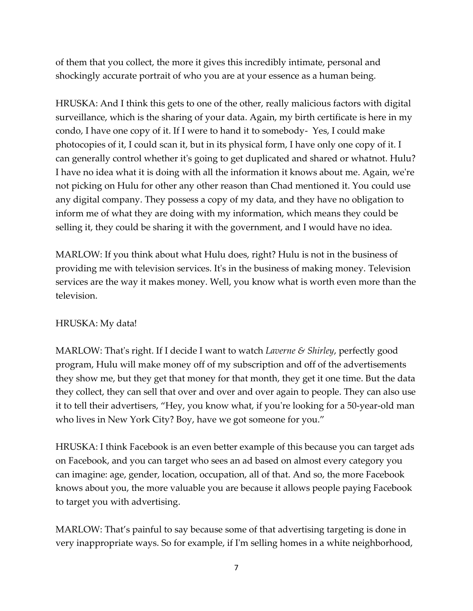of them that you collect, the more it gives this incredibly intimate, personal and shockingly accurate portrait of who you are at your essence as a human being.

HRUSKA: And I think this gets to one of the other, really malicious factors with digital surveillance, which is the sharing of your data. Again, my birth certificate is here in my condo, I have one copy of it. If I were to hand it to somebody- Yes, I could make photocopies of it, I could scan it, but in its physical form, I have only one copy of it. I can generally control whether it's going to get duplicated and shared or whatnot. Hulu? I have no idea what it is doing with all the information it knows about me. Again, we're not picking on Hulu for other any other reason than Chad mentioned it. You could use any digital company. They possess a copy of my data, and they have no obligation to inform me of what they are doing with my information, which means they could be selling it, they could be sharing it with the government, and I would have no idea.

MARLOW: If you think about what Hulu does, right? Hulu is not in the business of providing me with television services. It's in the business of making money. Television services are the way it makes money. Well, you know what is worth even more than the television.

## HRUSKA: My data!

MARLOW: That's right. If I decide I want to watch *Laverne & Shirley*, perfectly good program, Hulu will make money off of my subscription and off of the advertisements they show me, but they get that money for that month, they get it one time. But the data they collect, they can sell that over and over and over again to people. They can also use it to tell their advertisers, "Hey, you know what, if you're looking for a 50-year-old man who lives in New York City? Boy, have we got someone for you."

HRUSKA: I think Facebook is an even better example of this because you can target ads on Facebook, and you can target who sees an ad based on almost every category you can imagine: age, gender, location, occupation, all of that. And so, the more Facebook knows about you, the more valuable you are because it allows people paying Facebook to target you with advertising.

MARLOW: That's painful to say because some of that advertising targeting is done in very inappropriate ways. So for example, if I'm selling homes in a white neighborhood,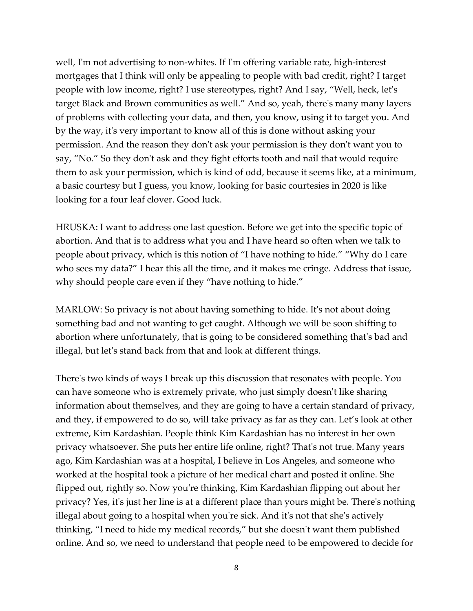well, I'm not advertising to non-whites. If I'm offering variable rate, high-interest mortgages that I think will only be appealing to people with bad credit, right? I target people with low income, right? I use stereotypes, right? And I say, "Well, heck, let's target Black and Brown communities as well." And so, yeah, there's many many layers of problems with collecting your data, and then, you know, using it to target you. And by the way, it's very important to know all of this is done without asking your permission. And the reason they don't ask your permission is they don't want you to say, "No." So they don't ask and they fight efforts tooth and nail that would require them to ask your permission, which is kind of odd, because it seems like, at a minimum, a basic courtesy but I guess, you know, looking for basic courtesies in 2020 is like looking for a four leaf clover. Good luck.

HRUSKA: I want to address one last question. Before we get into the specific topic of abortion. And that is to address what you and I have heard so often when we talk to people about privacy, which is this notion of "I have nothing to hide." "Why do I care who sees my data?" I hear this all the time, and it makes me cringe. Address that issue, why should people care even if they "have nothing to hide."

MARLOW: So privacy is not about having something to hide. It's not about doing something bad and not wanting to get caught. Although we will be soon shifting to abortion where unfortunately, that is going to be considered something that's bad and illegal, but let's stand back from that and look at different things.

There's two kinds of ways I break up this discussion that resonates with people. You can have someone who is extremely private, who just simply doesn't like sharing information about themselves, and they are going to have a certain standard of privacy, and they, if empowered to do so, will take privacy as far as they can. Let's look at other extreme, Kim Kardashian. People think Kim Kardashian has no interest in her own privacy whatsoever. She puts her entire life online, right? That's not true. Many years ago, Kim Kardashian was at a hospital, I believe in Los Angeles, and someone who worked at the hospital took a picture of her medical chart and posted it online. She flipped out, rightly so. Now you're thinking, Kim Kardashian flipping out about her privacy? Yes, it's just her line is at a different place than yours might be. There's nothing illegal about going to a hospital when you're sick. And it's not that she's actively thinking, "I need to hide my medical records," but she doesn't want them published online. And so, we need to understand that people need to be empowered to decide for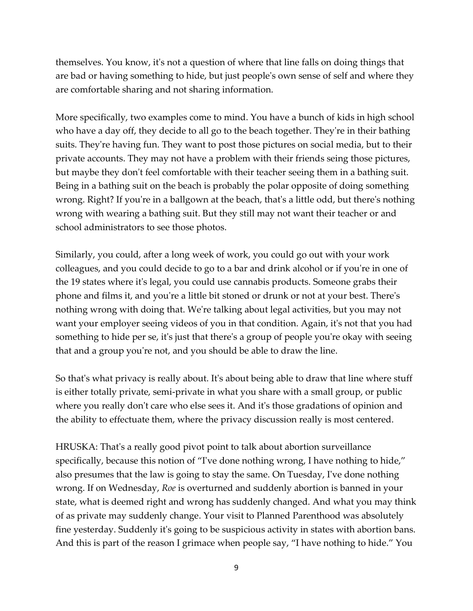themselves. You know, it's not a question of where that line falls on doing things that are bad or having something to hide, but just people's own sense of self and where they are comfortable sharing and not sharing information.

More specifically, two examples come to mind. You have a bunch of kids in high school who have a day off, they decide to all go to the beach together. They're in their bathing suits. They're having fun. They want to post those pictures on social media, but to their private accounts. They may not have a problem with their friends seing those pictures, but maybe they don't feel comfortable with their teacher seeing them in a bathing suit. Being in a bathing suit on the beach is probably the polar opposite of doing something wrong. Right? If you're in a ballgown at the beach, that's a little odd, but there's nothing wrong with wearing a bathing suit. But they still may not want their teacher or and school administrators to see those photos.

Similarly, you could, after a long week of work, you could go out with your work colleagues, and you could decide to go to a bar and drink alcohol or if you're in one of the 19 states where it's legal, you could use cannabis products. Someone grabs their phone and films it, and you're a little bit stoned or drunk or not at your best. There's nothing wrong with doing that. We're talking about legal activities, but you may not want your employer seeing videos of you in that condition. Again, it's not that you had something to hide per se, it's just that there's a group of people you're okay with seeing that and a group you're not, and you should be able to draw the line.

So that's what privacy is really about. It's about being able to draw that line where stuff is either totally private, semi-private in what you share with a small group, or public where you really don't care who else sees it. And it's those gradations of opinion and the ability to effectuate them, where the privacy discussion really is most centered.

HRUSKA: That's a really good pivot point to talk about abortion surveillance specifically, because this notion of "I've done nothing wrong, I have nothing to hide," also presumes that the law is going to stay the same. On Tuesday, I've done nothing wrong. If on Wednesday, *Roe* is overturned and suddenly abortion is banned in your state, what is deemed right and wrong has suddenly changed. And what you may think of as private may suddenly change. Your visit to Planned Parenthood was absolutely fine yesterday. Suddenly it's going to be suspicious activity in states with abortion bans. And this is part of the reason I grimace when people say, "I have nothing to hide." You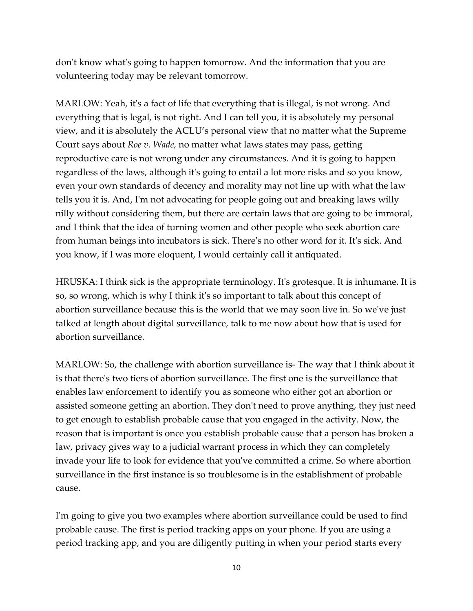don't know what's going to happen tomorrow. And the information that you are volunteering today may be relevant tomorrow.

MARLOW: Yeah, it's a fact of life that everything that is illegal, is not wrong. And everything that is legal, is not right. And I can tell you, it is absolutely my personal view, and it is absolutely the ACLU's personal view that no matter what the Supreme Court says about *Roe v. Wade,* no matter what laws states may pass, getting reproductive care is not wrong under any circumstances. And it is going to happen regardless of the laws, although it's going to entail a lot more risks and so you know, even your own standards of decency and morality may not line up with what the law tells you it is. And, I'm not advocating for people going out and breaking laws willy nilly without considering them, but there are certain laws that are going to be immoral, and I think that the idea of turning women and other people who seek abortion care from human beings into incubators is sick. There's no other word for it. It's sick. And you know, if I was more eloquent, I would certainly call it antiquated.

HRUSKA: I think sick is the appropriate terminology. It's grotesque. It is inhumane. It is so, so wrong, which is why I think it's so important to talk about this concept of abortion surveillance because this is the world that we may soon live in. So we've just talked at length about digital surveillance, talk to me now about how that is used for abortion surveillance.

MARLOW: So, the challenge with abortion surveillance is- The way that I think about it is that there's two tiers of abortion surveillance. The first one is the surveillance that enables law enforcement to identify you as someone who either got an abortion or assisted someone getting an abortion. They don't need to prove anything, they just need to get enough to establish probable cause that you engaged in the activity. Now, the reason that is important is once you establish probable cause that a person has broken a law, privacy gives way to a judicial warrant process in which they can completely invade your life to look for evidence that you've committed a crime. So where abortion surveillance in the first instance is so troublesome is in the establishment of probable cause.

I'm going to give you two examples where abortion surveillance could be used to find probable cause. The first is period tracking apps on your phone. If you are using a period tracking app, and you are diligently putting in when your period starts every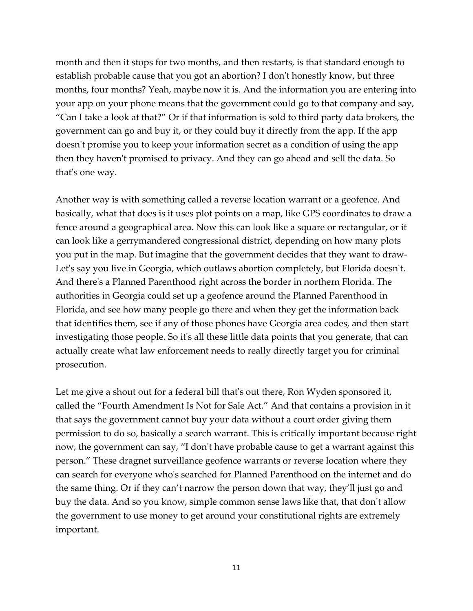month and then it stops for two months, and then restarts, is that standard enough to establish probable cause that you got an abortion? I don't honestly know, but three months, four months? Yeah, maybe now it is. And the information you are entering into your app on your phone means that the government could go to that company and say, "Can I take a look at that?" Or if that information is sold to third party data brokers, the government can go and buy it, or they could buy it directly from the app. If the app doesn't promise you to keep your information secret as a condition of using the app then they haven't promised to privacy. And they can go ahead and sell the data. So that's one way.

Another way is with something called a reverse location warrant or a geofence. And basically, what that does is it uses plot points on a map, like GPS coordinates to draw a fence around a geographical area. Now this can look like a square or rectangular, or it can look like a gerrymandered congressional district, depending on how many plots you put in the map. But imagine that the government decides that they want to draw-Let's say you live in Georgia, which outlaws abortion completely, but Florida doesn't. And there's a Planned Parenthood right across the border in northern Florida. The authorities in Georgia could set up a geofence around the Planned Parenthood in Florida, and see how many people go there and when they get the information back that identifies them, see if any of those phones have Georgia area codes, and then start investigating those people. So it's all these little data points that you generate, that can actually create what law enforcement needs to really directly target you for criminal prosecution.

Let me give a shout out for a federal bill that's out there, Ron Wyden sponsored it, called the "Fourth Amendment Is Not for Sale Act." And that contains a provision in it that says the government cannot buy your data without a court order giving them permission to do so, basically a search warrant. This is critically important because right now, the government can say, "I don't have probable cause to get a warrant against this person." These dragnet surveillance geofence warrants or reverse location where they can search for everyone who's searched for Planned Parenthood on the internet and do the same thing. Or if they can't narrow the person down that way, they'll just go and buy the data. And so you know, simple common sense laws like that, that don't allow the government to use money to get around your constitutional rights are extremely important.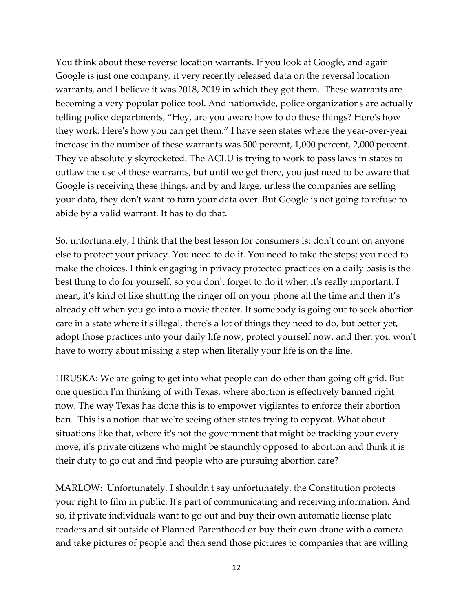You think about these reverse location warrants. If you look at Google, and again Google is just one company, it very recently released data on the reversal location warrants, and I believe it was 2018, 2019 in which they got them. These warrants are becoming a very popular police tool. And nationwide, police organizations are actually telling police departments, "Hey, are you aware how to do these things? Here's how they work. Here's how you can get them." I have seen states where the year-over-year increase in the number of these warrants was 500 percent, 1,000 percent, 2,000 percent. They've absolutely skyrocketed. The ACLU is trying to work to pass laws in states to outlaw the use of these warrants, but until we get there, you just need to be aware that Google is receiving these things, and by and large, unless the companies are selling your data, they don't want to turn your data over. But Google is not going to refuse to abide by a valid warrant. It has to do that.

So, unfortunately, I think that the best lesson for consumers is: don't count on anyone else to protect your privacy. You need to do it. You need to take the steps; you need to make the choices. I think engaging in privacy protected practices on a daily basis is the best thing to do for yourself, so you don't forget to do it when it's really important. I mean, it's kind of like shutting the ringer off on your phone all the time and then it's already off when you go into a movie theater. If somebody is going out to seek abortion care in a state where it's illegal, there's a lot of things they need to do, but better yet, adopt those practices into your daily life now, protect yourself now, and then you won't have to worry about missing a step when literally your life is on the line.

HRUSKA: We are going to get into what people can do other than going off grid. But one question I'm thinking of with Texas, where abortion is effectively banned right now. The way Texas has done this is to empower vigilantes to enforce their abortion ban. This is a notion that we're seeing other states trying to copycat. What about situations like that, where it's not the government that might be tracking your every move, it's private citizens who might be staunchly opposed to abortion and think it is their duty to go out and find people who are pursuing abortion care?

MARLOW: Unfortunately, I shouldn't say unfortunately, the Constitution protects your right to film in public. It's part of communicating and receiving information. And so, if private individuals want to go out and buy their own automatic license plate readers and sit outside of Planned Parenthood or buy their own drone with a camera and take pictures of people and then send those pictures to companies that are willing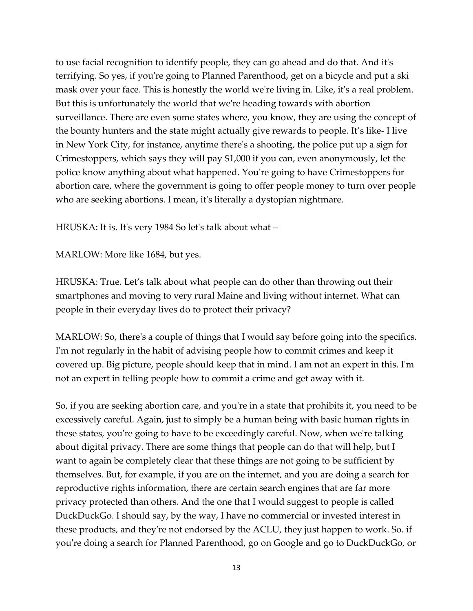to use facial recognition to identify people, they can go ahead and do that. And it's terrifying. So yes, if you're going to Planned Parenthood, get on a bicycle and put a ski mask over your face. This is honestly the world we're living in. Like, it's a real problem. But this is unfortunately the world that we're heading towards with abortion surveillance. There are even some states where, you know, they are using the concept of the bounty hunters and the state might actually give rewards to people. It's like- I live in New York City, for instance, anytime there's a shooting, the police put up a sign for Crimestoppers, which says they will pay \$1,000 if you can, even anonymously, let the police know anything about what happened. You're going to have Crimestoppers for abortion care, where the government is going to offer people money to turn over people who are seeking abortions. I mean, it's literally a dystopian nightmare.

HRUSKA: It is. It's very 1984 So let's talk about what –

MARLOW: More like 1684, but yes.

HRUSKA: True. Let's talk about what people can do other than throwing out their smartphones and moving to very rural Maine and living without internet. What can people in their everyday lives do to protect their privacy?

MARLOW: So, there's a couple of things that I would say before going into the specifics. I'm not regularly in the habit of advising people how to commit crimes and keep it covered up. Big picture, people should keep that in mind. I am not an expert in this. I'm not an expert in telling people how to commit a crime and get away with it.

So, if you are seeking abortion care, and you're in a state that prohibits it, you need to be excessively careful. Again, just to simply be a human being with basic human rights in these states, you're going to have to be exceedingly careful. Now, when we're talking about digital privacy. There are some things that people can do that will help, but I want to again be completely clear that these things are not going to be sufficient by themselves. But, for example, if you are on the internet, and you are doing a search for reproductive rights information, there are certain search engines that are far more privacy protected than others. And the one that I would suggest to people is called DuckDuckGo. I should say, by the way, I have no commercial or invested interest in these products, and they're not endorsed by the ACLU, they just happen to work. So. if you're doing a search for Planned Parenthood, go on Google and go to DuckDuckGo, or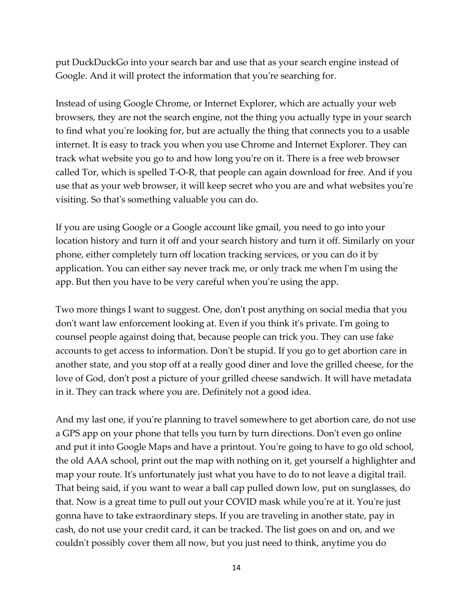put DuckDuckGo into your search bar and use that as your search engine instead of Google. And it will protect the information that you're searching for.

Instead of using Google Chrome, or Internet Explorer, which are actually your web browsers, they are not the search engine, not the thing you actually type in your search to find what you're looking for, but are actually the thing that connects you to a usable internet. It is easy to track you when you use Chrome and Internet Explorer. They can track what website you go to and how long you're on it. There is a free web browser called Tor, which is spelled T-O-R, that people can again download for free. And if you use that as your web browser, it will keep secret who you are and what websites you're visiting. So that's something valuable you can do.

If you are using Google or a Google account like gmail, you need to go into your location history and turn it off and your search history and turn it off. Similarly on your phone, either completely turn off location tracking services, or you can do it by application. You can either say never track me, or only track me when I'm using the app. But then you have to be very careful when you're using the app.

Two more things I want to suggest. One, don't post anything on social media that you don't want law enforcement looking at. Even if you think it's private. I'm going to counsel people against doing that, because people can trick you. They can use fake accounts to get access to information. Don't be stupid. If you go to get abortion care in another state, and you stop off at a really good diner and love the grilled cheese, for the love of God, don't post a picture of your grilled cheese sandwich. It will have metadata in it. They can track where you are. Definitely not a good idea.

And my last one, if you're planning to travel somewhere to get abortion care, do not use a GPS app on your phone that tells you turn by turn directions. Don't even go online and put it into Google Maps and have a printout. You're going to have to go old school, the old AAA school, print out the map with nothing on it, get yourself a highlighter and map your route. It's unfortunately just what you have to do to not leave a digital trail. That being said, if you want to wear a ball cap pulled down low, put on sunglasses, do that. Now is a great time to pull out your COVID mask while you're at it. You're just gonna have to take extraordinary steps. If you are traveling in another state, pay in cash, do not use your credit card, it can be tracked. The list goes on and on, and we couldn't possibly cover them all now, but you just need to think, anytime you do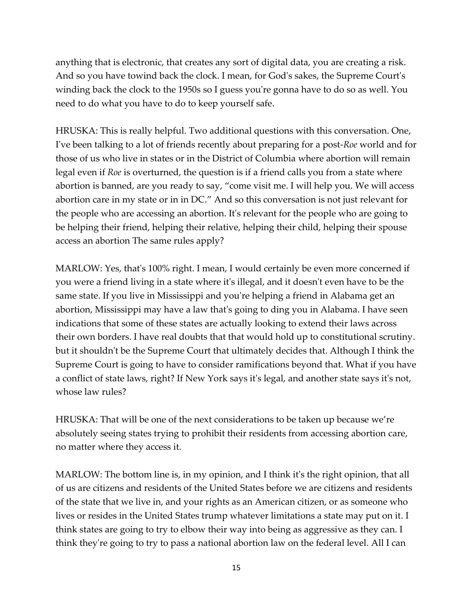anything that is electronic, that creates any sort of digital data, you are creating a risk. And so you have towind back the clock. I mean, for God's sakes, the Supreme Court's winding back the clock to the 1950s so I guess you're gonna have to do so as well. You need to do what you have to do to keep yourself safe.

HRUSKA: This is really helpful. Two additional questions with this conversation. One, I've been talking to a lot of friends recently about preparing for a post-*Roe* world and for those of us who live in states or in the District of Columbia where abortion will remain legal even if *Roe* is overturned, the question is if a friend calls you from a state where abortion is banned, are you ready to say, "come visit me. I will help you. We will access abortion care in my state or in in DC." And so this conversation is not just relevant for the people who are accessing an abortion. It's relevant for the people who are going to be helping their friend, helping their relative, helping their child, helping their spouse access an abortion The same rules apply?

MARLOW: Yes, that's 100% right. I mean, I would certainly be even more concerned if you were a friend living in a state where it's illegal, and it doesn't even have to be the same state. If you live in Mississippi and you're helping a friend in Alabama get an abortion, Mississippi may have a law that's going to ding you in Alabama. I have seen indications that some of these states are actually looking to extend their laws across their own borders. I have real doubts that that would hold up to constitutional scrutiny. but it shouldn't be the Supreme Court that ultimately decides that. Although I think the Supreme Court is going to have to consider ramifications beyond that. What if you have a conflict of state laws, right? If New York says it's legal, and another state says it's not, whose law rules?

HRUSKA: That will be one of the next considerations to be taken up because we're absolutely seeing states trying to prohibit their residents from accessing abortion care, no matter where they access it.

MARLOW: The bottom line is, in my opinion, and I think it's the right opinion, that all of us are citizens and residents of the United States before we are citizens and residents of the state that we live in, and your rights as an American citizen, or as someone who lives or resides in the United States trump whatever limitations a state may put on it. I think states are going to try to elbow their way into being as aggressive as they can. I think they're going to try to pass a national abortion law on the federal level. All I can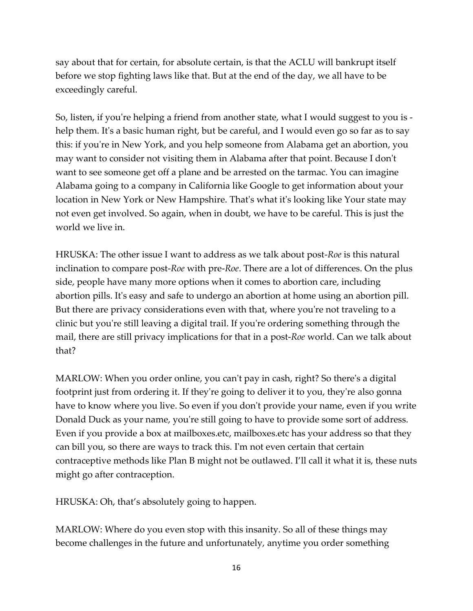say about that for certain, for absolute certain, is that the ACLU will bankrupt itself before we stop fighting laws like that. But at the end of the day, we all have to be exceedingly careful.

So, listen, if you're helping a friend from another state, what I would suggest to you is help them. It's a basic human right, but be careful, and I would even go so far as to say this: if you're in New York, and you help someone from Alabama get an abortion, you may want to consider not visiting them in Alabama after that point. Because I don't want to see someone get off a plane and be arrested on the tarmac. You can imagine Alabama going to a company in California like Google to get information about your location in New York or New Hampshire. That's what it's looking like Your state may not even get involved. So again, when in doubt, we have to be careful. This is just the world we live in.

HRUSKA: The other issue I want to address as we talk about post-*Roe* is this natural inclination to compare post-*Roe* with pre-*Roe*. There are a lot of differences. On the plus side, people have many more options when it comes to abortion care, including abortion pills. It's easy and safe to undergo an abortion at home using an abortion pill. But there are privacy considerations even with that, where you're not traveling to a clinic but you're still leaving a digital trail. If you're ordering something through the mail, there are still privacy implications for that in a post-*Roe* world. Can we talk about that?

MARLOW: When you order online, you can't pay in cash, right? So there's a digital footprint just from ordering it. If they're going to deliver it to you, they're also gonna have to know where you live. So even if you don't provide your name, even if you write Donald Duck as your name, you're still going to have to provide some sort of address. Even if you provide a box at mailboxes.etc, mailboxes.etc has your address so that they can bill you, so there are ways to track this. I'm not even certain that certain contraceptive methods like Plan B might not be outlawed. I'll call it what it is, these nuts might go after contraception.

HRUSKA: Oh, that's absolutely going to happen.

MARLOW: Where do you even stop with this insanity. So all of these things may become challenges in the future and unfortunately, anytime you order something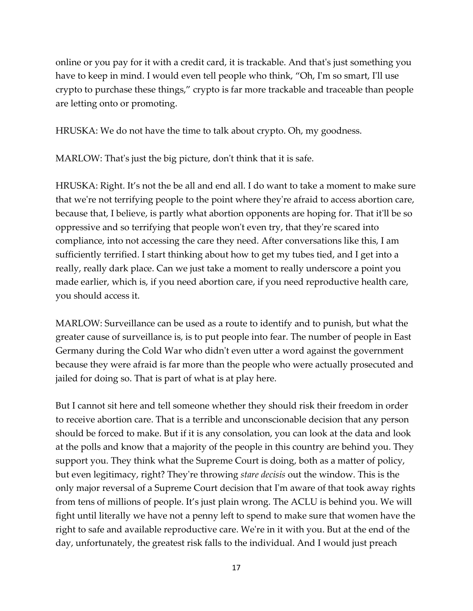online or you pay for it with a credit card, it is trackable. And that's just something you have to keep in mind. I would even tell people who think, "Oh, I'm so smart, I'll use crypto to purchase these things," crypto is far more trackable and traceable than people are letting onto or promoting.

HRUSKA: We do not have the time to talk about crypto. Oh, my goodness.

MARLOW: That's just the big picture, don't think that it is safe.

HRUSKA: Right. It's not the be all and end all. I do want to take a moment to make sure that we're not terrifying people to the point where they're afraid to access abortion care, because that, I believe, is partly what abortion opponents are hoping for. That it'll be so oppressive and so terrifying that people won't even try, that they're scared into compliance, into not accessing the care they need. After conversations like this, I am sufficiently terrified. I start thinking about how to get my tubes tied, and I get into a really, really dark place. Can we just take a moment to really underscore a point you made earlier, which is, if you need abortion care, if you need reproductive health care, you should access it.

MARLOW: Surveillance can be used as a route to identify and to punish, but what the greater cause of surveillance is, is to put people into fear. The number of people in East Germany during the Cold War who didn't even utter a word against the government because they were afraid is far more than the people who were actually prosecuted and jailed for doing so. That is part of what is at play here.

But I cannot sit here and tell someone whether they should risk their freedom in order to receive abortion care. That is a terrible and unconscionable decision that any person should be forced to make. But if it is any consolation, you can look at the data and look at the polls and know that a majority of the people in this country are behind you. They support you. They think what the Supreme Court is doing, both as a matter of policy, but even legitimacy, right? They're throwing *stare decisis* out the window. This is the only major reversal of a Supreme Court decision that I'm aware of that took away rights from tens of millions of people. It's just plain wrong. The ACLU is behind you. We will fight until literally we have not a penny left to spend to make sure that women have the right to safe and available reproductive care. We're in it with you. But at the end of the day, unfortunately, the greatest risk falls to the individual. And I would just preach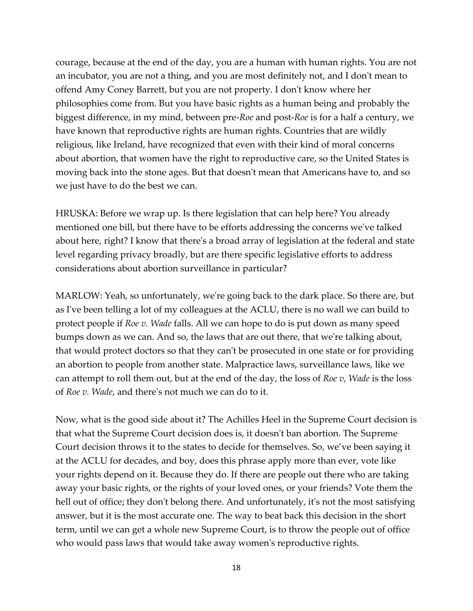courage, because at the end of the day, you are a human with human rights. You are not an incubator, you are not a thing, and you are most definitely not, and I don't mean to offend Amy Coney Barrett, but you are not property. I don't know where her philosophies come from. But you have basic rights as a human being and probably the biggest difference, in my mind, between pre-*Roe* and post-*Roe* is for a half a century, we have known that reproductive rights are human rights. Countries that are wildly religious, like Ireland, have recognized that even with their kind of moral concerns about abortion, that women have the right to reproductive care, so the United States is moving back into the stone ages. But that doesn't mean that Americans have to, and so we just have to do the best we can.

HRUSKA: Before we wrap up. Is there legislation that can help here? You already mentioned one bill, but there have to be efforts addressing the concerns we've talked about here, right? I know that there's a broad array of legislation at the federal and state level regarding privacy broadly, but are there specific legislative efforts to address considerations about abortion surveillance in particular?

MARLOW: Yeah, so unfortunately, we're going back to the dark place. So there are, but as I've been telling a lot of my colleagues at the ACLU, there is no wall we can build to protect people if *Roe v. Wade* falls. All we can hope to do is put down as many speed bumps down as we can. And so, the laws that are out there, that we're talking about, that would protect doctors so that they can't be prosecuted in one state or for providing an abortion to people from another state. Malpractice laws, surveillance laws, like we can attempt to roll them out, but at the end of the day, the loss of *Roe v, Wade* is the loss of *Roe v. Wade*, and there's not much we can do to it.

Now, what is the good side about it? The Achilles Heel in the Supreme Court decision is that what the Supreme Court decision does is, it doesn't ban abortion. The Supreme Court decision throws it to the states to decide for themselves. So, we've been saying it at the ACLU for decades, and boy, does this phrase apply more than ever, vote like your rights depend on it. Because they do. If there are people out there who are taking away your basic rights, or the rights of your loved ones, or your friends? Vote them the hell out of office; they don't belong there. And unfortunately, it's not the most satisfying answer, but it is the most accurate one. The way to beat back this decision in the short term, until we can get a whole new Supreme Court, is to throw the people out of office who would pass laws that would take away women's reproductive rights.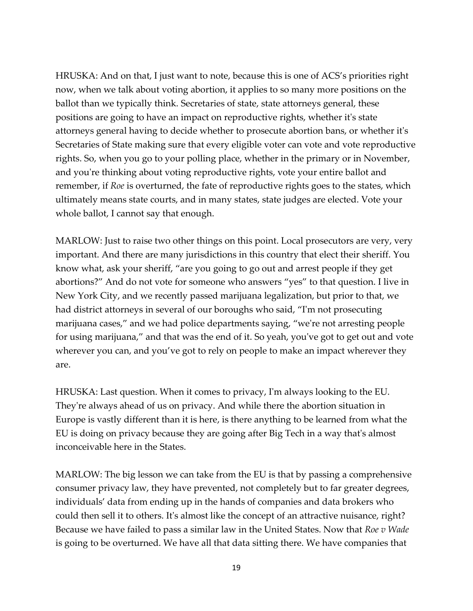HRUSKA: And on that, I just want to note, because this is one of ACS's priorities right now, when we talk about voting abortion, it applies to so many more positions on the ballot than we typically think. Secretaries of state, state attorneys general, these positions are going to have an impact on reproductive rights, whether it's state attorneys general having to decide whether to prosecute abortion bans, or whether it's Secretaries of State making sure that every eligible voter can vote and vote reproductive rights. So, when you go to your polling place, whether in the primary or in November, and you're thinking about voting reproductive rights, vote your entire ballot and remember, if *Roe* is overturned, the fate of reproductive rights goes to the states, which ultimately means state courts, and in many states, state judges are elected. Vote your whole ballot, I cannot say that enough.

MARLOW: Just to raise two other things on this point. Local prosecutors are very, very important. And there are many jurisdictions in this country that elect their sheriff. You know what, ask your sheriff, "are you going to go out and arrest people if they get abortions?" And do not vote for someone who answers "yes" to that question. I live in New York City, and we recently passed marijuana legalization, but prior to that, we had district attorneys in several of our boroughs who said, "I'm not prosecuting marijuana cases," and we had police departments saying, "we're not arresting people for using marijuana," and that was the end of it. So yeah, you've got to get out and vote wherever you can, and you've got to rely on people to make an impact wherever they are.

HRUSKA: Last question. When it comes to privacy, I'm always looking to the EU. They're always ahead of us on privacy. And while there the abortion situation in Europe is vastly different than it is here, is there anything to be learned from what the EU is doing on privacy because they are going after Big Tech in a way that's almost inconceivable here in the States.

MARLOW: The big lesson we can take from the EU is that by passing a comprehensive consumer privacy law, they have prevented, not completely but to far greater degrees, individuals' data from ending up in the hands of companies and data brokers who could then sell it to others. It's almost like the concept of an attractive nuisance, right? Because we have failed to pass a similar law in the United States. Now that *Roe v Wade* is going to be overturned. We have all that data sitting there. We have companies that